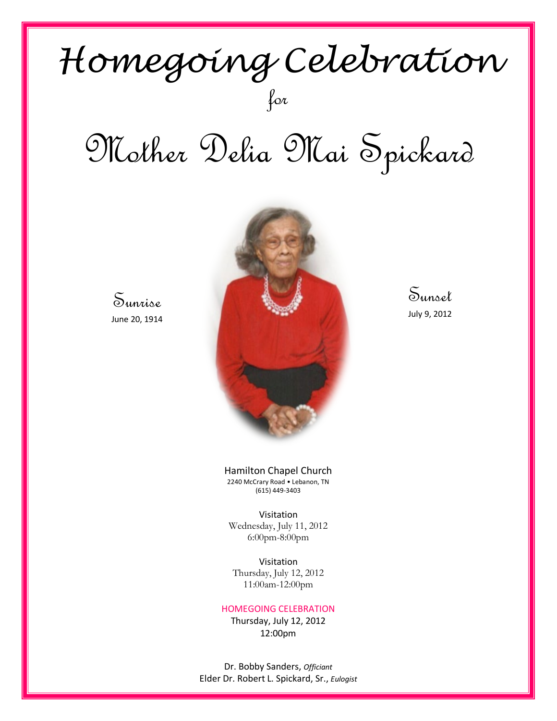## *Homegoing Celebration* for

# Mother Delia Mai Spickard

Sunrise June 20, 1914



Sunset July 9, 2012

Hamilton Chapel Church 2240 McCrary Road • Lebanon, TN (615) 449-3403

Visitation Wednesday, July 11, 2012 6:00pm-8:00pm

Visitation Thursday, July 12, 2012 11:00am-12:00pm

#### HOMEGOING CELEBRATION

Thursday, July 12, 2012 12:00pm

Dr. Bobby Sanders, *Officiant* Elder Dr. Robert L. Spickard, Sr., *Eulogist*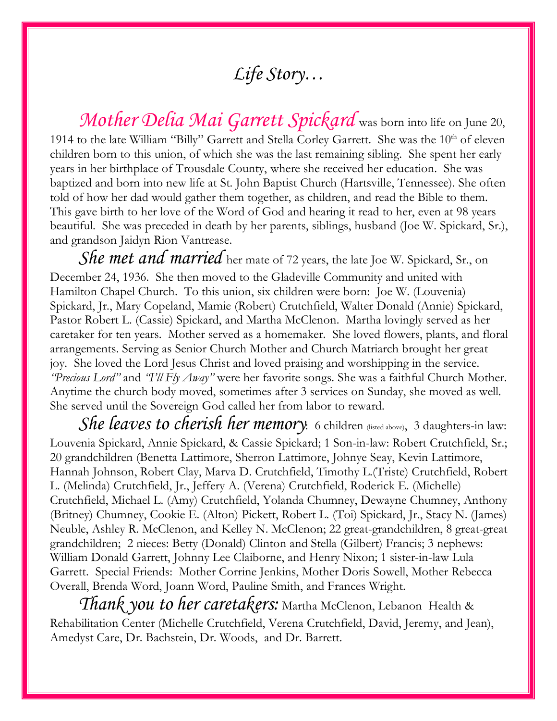## *Life Story…*

*Mother Delia Mai Garrett Spickard* was born into life on June 20, 1914 to the late William "Billy" Garrett and Stella Corley Garrett. She was the 10<sup>th</sup> of eleven children born to this union, of which she was the last remaining sibling. She spent her early years in her birthplace of Trousdale County, where she received her education. She was baptized and born into new life at St. John Baptist Church (Hartsville, Tennessee). She often told of how her dad would gather them together, as children, and read the Bible to them. This gave birth to her love of the Word of God and hearing it read to her, even at 98 years beautiful. She was preceded in death by her parents, siblings, husband (Joe W. Spickard, Sr.), and grandson Jaidyn Rion Vantrease.

*She met and married* her mate of 72 years, the late Joe W. Spickard, Sr., on December 24, 1936. She then moved to the Gladeville Community and united with Hamilton Chapel Church. To this union, six children were born: Joe W. (Louvenia) Spickard, Jr., Mary Copeland, Mamie (Robert) Crutchfield, Walter Donald (Annie) Spickard, Pastor Robert L. (Cassie) Spickard, and Martha McClenon. Martha lovingly served as her caretaker for ten years. Mother served as a homemaker. She loved flowers, plants, and floral arrangements. Serving as Senior Church Mother and Church Matriarch brought her great joy. She loved the Lord Jesus Christ and loved praising and worshipping in the service. *"Precious Lord"* and *"I'll Fly Away"* were her favorite songs. She was a faithful Church Mother. Anytime the church body moved, sometimes after 3 services on Sunday, she moved as well. She served until the Sovereign God called her from labor to reward.

*She leaves to cherish her memory*: 6 children (listed above), 3 daughters-in law: Louvenia Spickard, Annie Spickard, & Cassie Spickard; 1 Son-in-law: Robert Crutchfield, Sr.; 20 grandchildren (Benetta Lattimore, Sherron Lattimore, Johnye Seay, Kevin Lattimore, Hannah Johnson, Robert Clay, Marva D. Crutchfield, Timothy L.(Triste) Crutchfield, Robert L. (Melinda) Crutchfield, Jr., Jeffery A. (Verena) Crutchfield, Roderick E. (Michelle) Crutchfield, Michael L. (Amy) Crutchfield, Yolanda Chumney, Dewayne Chumney, Anthony (Britney) Chumney, Cookie E. (Alton) Pickett, Robert L. (Toi) Spickard, Jr., Stacy N. (James) Neuble, Ashley R. McClenon, and Kelley N. McClenon; 22 great-grandchildren, 8 great-great grandchildren; 2 nieces: Betty (Donald) Clinton and Stella (Gilbert) Francis; 3 nephews: William Donald Garrett, Johnny Lee Claiborne, and Henry Nixon; 1 sister-in-law Lula Garrett. Special Friends: Mother Corrine Jenkins, Mother Doris Sowell, Mother Rebecca Overall, Brenda Word, Joann Word, Pauline Smith, and Frances Wright.

*Thank you to her caretakers:* Martha McClenon, Lebanon Health & Rehabilitation Center (Michelle Crutchfield, Verena Crutchfield, David, Jeremy, and Jean), Amedyst Care, Dr. Bachstein, Dr. Woods, and Dr. Barrett.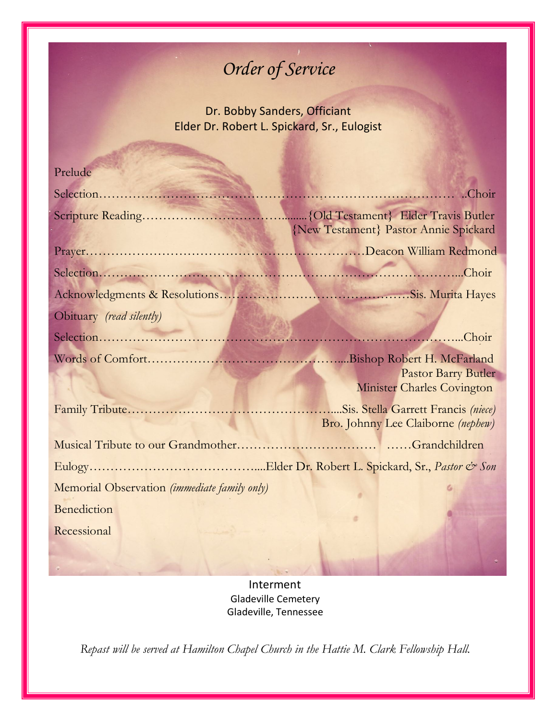## *Order of Service*

Dr. Bobby Sanders, Officiant Elder Dr. Robert L. Spickard, Sr., Eulogist

## Prelude

|                                              | {New Testament} Pastor Annie Spickard |
|----------------------------------------------|---------------------------------------|
|                                              |                                       |
|                                              |                                       |
|                                              |                                       |
| Obituary (read silently)                     |                                       |
|                                              |                                       |
|                                              |                                       |
|                                              | <b>Pastor Barry Butler</b>            |
|                                              | Minister Charles Covington            |
|                                              | Sis. Stella Garrett Francis (niece)   |
|                                              | Bro. Johnny Lee Claiborne (nephew)    |
|                                              |                                       |
|                                              |                                       |
| Memorial Observation (immediate family only) |                                       |
| <b>Benediction</b>                           |                                       |
| Recessional                                  |                                       |
|                                              |                                       |

Interment Gladeville Cemetery Gladeville, Tennessee

*Repast will be served at Hamilton Chapel Church in the Hattie M. Clark Fellowship Hall.*